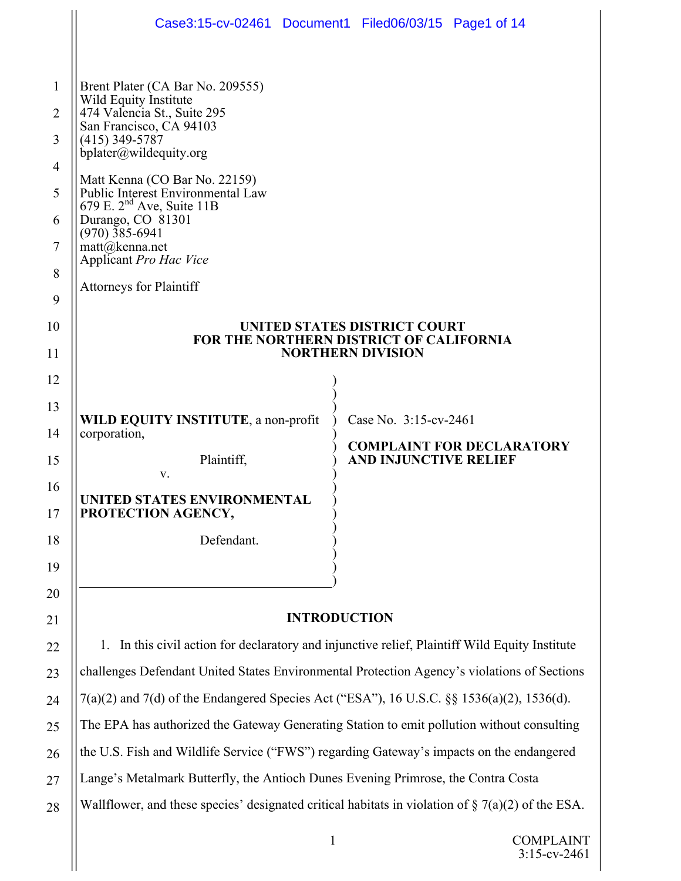|                | Case3:15-cv-02461 Document1 Filed06/03/15 Page1 of 14                                                               |  |                                                                  |  |  |  |  |  |  |  |
|----------------|---------------------------------------------------------------------------------------------------------------------|--|------------------------------------------------------------------|--|--|--|--|--|--|--|
|                |                                                                                                                     |  |                                                                  |  |  |  |  |  |  |  |
| 1              | Brent Plater (CA Bar No. 209555)<br>Wild Equity Institute<br>474 Valencia St., Suite 295<br>San Francisco, CA 94103 |  |                                                                  |  |  |  |  |  |  |  |
| $\overline{2}$ |                                                                                                                     |  |                                                                  |  |  |  |  |  |  |  |
| 3              | $(415)$ 349-5787<br>bplater@wildequity.org                                                                          |  |                                                                  |  |  |  |  |  |  |  |
| $\overline{4}$ | Matt Kenna (CO Bar No. 22159)                                                                                       |  |                                                                  |  |  |  |  |  |  |  |
| 5              | Public Interest Environmental Law<br>679 E. $2nd$ Ave, Suite 11B<br>Durango, CO 81301<br>$(970)$ 385-6941           |  |                                                                  |  |  |  |  |  |  |  |
| 6              |                                                                                                                     |  |                                                                  |  |  |  |  |  |  |  |
| 7              | matt@kenna.net<br>Applicant Pro Hac Vice                                                                            |  |                                                                  |  |  |  |  |  |  |  |
| 8              | <b>Attorneys for Plaintiff</b>                                                                                      |  |                                                                  |  |  |  |  |  |  |  |
| 9              |                                                                                                                     |  |                                                                  |  |  |  |  |  |  |  |
| 10             | UNITED STATES DISTRICT COURT<br>FOR THE NORTHERN DISTRICT OF CALIFORNIA                                             |  |                                                                  |  |  |  |  |  |  |  |
| 11<br>12       | <b>NORTHERN DIVISION</b>                                                                                            |  |                                                                  |  |  |  |  |  |  |  |
| 13             |                                                                                                                     |  |                                                                  |  |  |  |  |  |  |  |
| 14             | WILD EQUITY INSTITUTE, a non-profit<br>corporation,<br>Plaintiff,                                                   |  | Case No. 3:15-cv-2461                                            |  |  |  |  |  |  |  |
| 15             |                                                                                                                     |  | <b>COMPLAINT FOR DECLARATORY</b><br><b>AND INJUNCTIVE RELIEF</b> |  |  |  |  |  |  |  |
| 16             | V.                                                                                                                  |  |                                                                  |  |  |  |  |  |  |  |
| 17             | UNITED STATES ENVIRONMENTAL<br>PROTECTION AGENCY,                                                                   |  |                                                                  |  |  |  |  |  |  |  |
| 18             | Defendant.                                                                                                          |  |                                                                  |  |  |  |  |  |  |  |
| 19             |                                                                                                                     |  |                                                                  |  |  |  |  |  |  |  |
| 20             |                                                                                                                     |  |                                                                  |  |  |  |  |  |  |  |
| 21             | <b>INTRODUCTION</b>                                                                                                 |  |                                                                  |  |  |  |  |  |  |  |
| 22             | 1. In this civil action for declaratory and injunctive relief, Plaintiff Wild Equity Institute                      |  |                                                                  |  |  |  |  |  |  |  |
| 23             | challenges Defendant United States Environmental Protection Agency's violations of Sections                         |  |                                                                  |  |  |  |  |  |  |  |
| 24             | 7(a)(2) and 7(d) of the Endangered Species Act ("ESA"), 16 U.S.C. §§ 1536(a)(2), 1536(d).                           |  |                                                                  |  |  |  |  |  |  |  |
| 25             | The EPA has authorized the Gateway Generating Station to emit pollution without consulting                          |  |                                                                  |  |  |  |  |  |  |  |
| 26             | the U.S. Fish and Wildlife Service ("FWS") regarding Gateway's impacts on the endangered                            |  |                                                                  |  |  |  |  |  |  |  |
| 27             | Lange's Metalmark Butterfly, the Antioch Dunes Evening Primrose, the Contra Costa                                   |  |                                                                  |  |  |  |  |  |  |  |
| 28             | Wallflower, and these species' designated critical habitats in violation of $\S$ 7(a)(2) of the ESA.                |  |                                                                  |  |  |  |  |  |  |  |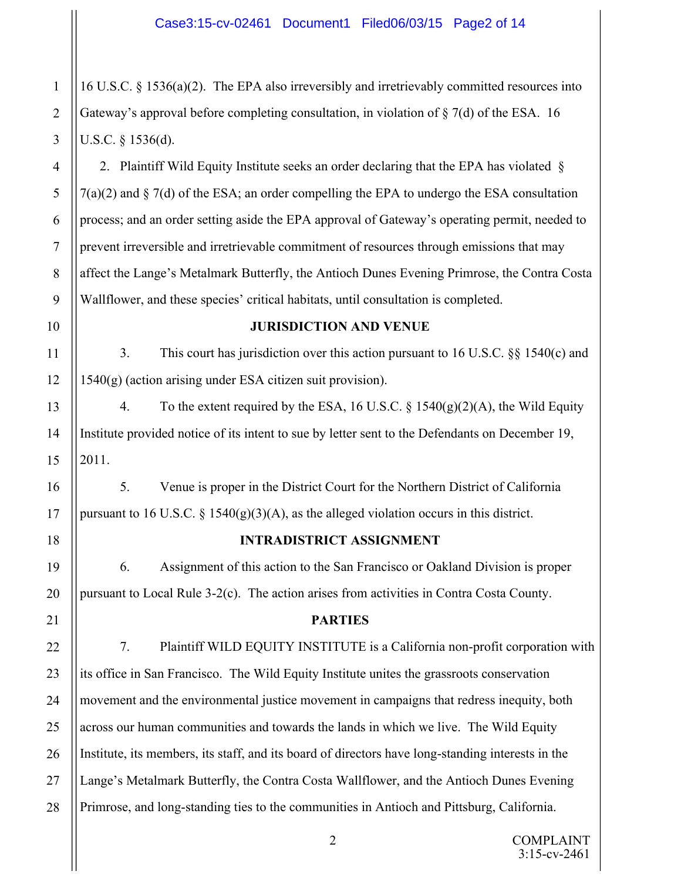16 U.S.C. § 1536(a)(2). The EPA also irreversibly and irretrievably committed resources into Gateway's approval before completing consultation, in violation of  $\S$  7(d) of the ESA. 16 U.S.C. § 1536(d).

2. Plaintiff Wild Equity Institute seeks an order declaring that the EPA has violated §  $7(a)(2)$  and § 7(d) of the ESA; an order compelling the EPA to undergo the ESA consultation process; and an order setting aside the EPA approval of Gateway's operating permit, needed to prevent irreversible and irretrievable commitment of resources through emissions that may affect the Lange's Metalmark Butterfly, the Antioch Dunes Evening Primrose, the Contra Costa Wallflower, and these species' critical habitats, until consultation is completed.

# 10

1

2

3

4

5

6

7

8

9

11

12

13

14

15

16

17

18

19

20

21

22

23

24

25

26

27

28

#### **JURISDICTION AND VENUE**

3. This court has jurisdiction over this action pursuant to 16 U.S.C. §§ 1540(c) and 1540(g) (action arising under ESA citizen suit provision).

4. To the extent required by the ESA, 16 U.S.C. § 1540(g)(2)(A), the Wild Equity Institute provided notice of its intent to sue by letter sent to the Defendants on December 19, 2011.

5. Venue is proper in the District Court for the Northern District of California pursuant to 16 U.S.C.  $\S$  1540(g)(3)(A), as the alleged violation occurs in this district.

## **INTRADISTRICT ASSIGNMENT**

6. Assignment of this action to the San Francisco or Oakland Division is proper pursuant to Local Rule 3-2(c). The action arises from activities in Contra Costa County.

## **PARTIES**

7. Plaintiff WILD EQUITY INSTITUTE is a California non-profit corporation with its office in San Francisco. The Wild Equity Institute unites the grassroots conservation movement and the environmental justice movement in campaigns that redress inequity, both across our human communities and towards the lands in which we live. The Wild Equity Institute, its members, its staff, and its board of directors have long-standing interests in the Lange's Metalmark Butterfly, the Contra Costa Wallflower, and the Antioch Dunes Evening Primrose, and long-standing ties to the communities in Antioch and Pittsburg, California.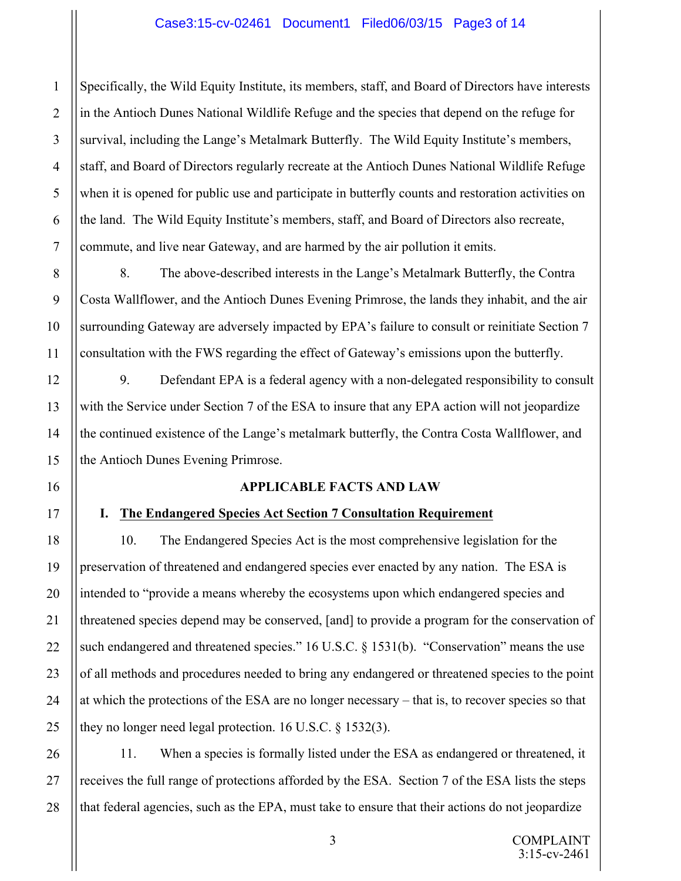## Case3:15-cv-02461 Document1 Filed06/03/15 Page3 of 14

Specifically, the Wild Equity Institute, its members, staff, and Board of Directors have interests in the Antioch Dunes National Wildlife Refuge and the species that depend on the refuge for survival, including the Lange's Metalmark Butterfly. The Wild Equity Institute's members, staff, and Board of Directors regularly recreate at the Antioch Dunes National Wildlife Refuge when it is opened for public use and participate in butterfly counts and restoration activities on the land. The Wild Equity Institute's members, staff, and Board of Directors also recreate, commute, and live near Gateway, and are harmed by the air pollution it emits.

8. The above-described interests in the Lange's Metalmark Butterfly, the Contra Costa Wallflower, and the Antioch Dunes Evening Primrose, the lands they inhabit, and the air surrounding Gateway are adversely impacted by EPA's failure to consult or reinitiate Section 7 consultation with the FWS regarding the effect of Gateway's emissions upon the butterfly.

9. Defendant EPA is a federal agency with a non-delegated responsibility to consult with the Service under Section 7 of the ESA to insure that any EPA action will not jeopardize the continued existence of the Lange's metalmark butterfly, the Contra Costa Wallflower, and the Antioch Dunes Evening Primrose.

#### **APPLICABLE FACTS AND LAW**

#### **I. The Endangered Species Act Section 7 Consultation Requirement**

# 10. The Endangered Species Act is the most comprehensive legislation for the preservation of threatened and endangered species ever enacted by any nation. The ESA is intended to "provide a means whereby the ecosystems upon which endangered species and threatened species depend may be conserved, [and] to provide a program for the conservation of such endangered and threatened species." 16 U.S.C. § 1531(b). "Conservation" means the use of all methods and procedures needed to bring any endangered or threatened species to the point at which the protections of the ESA are no longer necessary – that is, to recover species so that they no longer need legal protection. 16 U.S.C. § 1532(3).

11. When a species is formally listed under the ESA as endangered or threatened, it receives the full range of protections afforded by the ESA. Section 7 of the ESA lists the steps that federal agencies, such as the EPA, must take to ensure that their actions do not jeopardize

3

1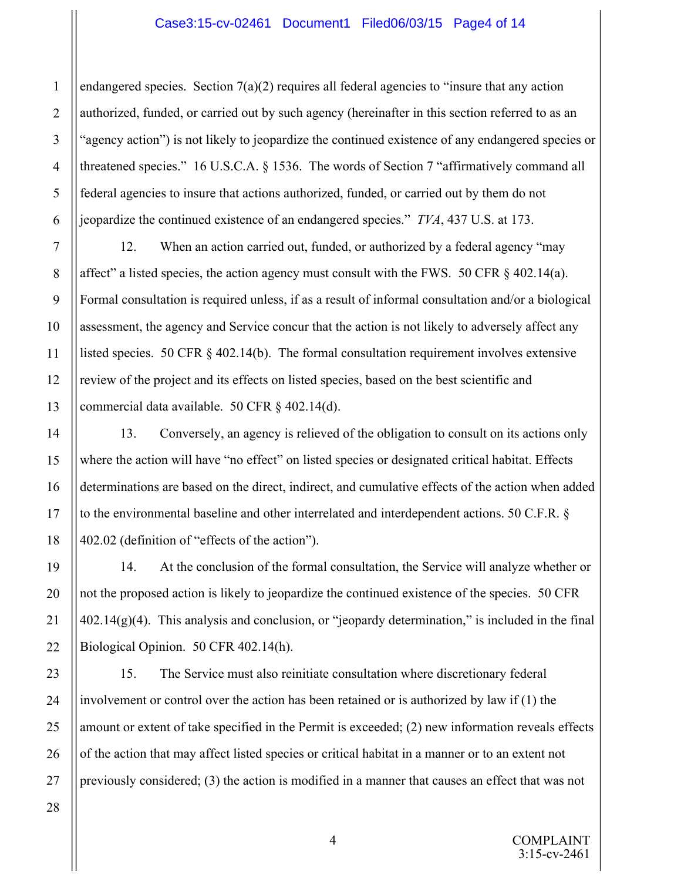#### Case3:15-cv-02461 Document1 Filed06/03/15 Page4 of 14

endangered species. Section  $7(a)(2)$  requires all federal agencies to "insure that any action" authorized, funded, or carried out by such agency (hereinafter in this section referred to as an "agency action") is not likely to jeopardize the continued existence of any endangered species or threatened species." 16 U.S.C.A. § 1536. The words of Section 7 "affirmatively command all federal agencies to insure that actions authorized, funded, or carried out by them do not jeopardize the continued existence of an endangered species." *TVA*, 437 U.S. at 173.

12. When an action carried out, funded, or authorized by a federal agency "may affect" a listed species, the action agency must consult with the FWS. 50 CFR  $\S$  402.14(a). Formal consultation is required unless, if as a result of informal consultation and/or a biological assessment, the agency and Service concur that the action is not likely to adversely affect any listed species. 50 CFR § 402.14(b). The formal consultation requirement involves extensive review of the project and its effects on listed species, based on the best scientific and commercial data available. 50 CFR § 402.14(d).

13. Conversely, an agency is relieved of the obligation to consult on its actions only where the action will have "no effect" on listed species or designated critical habitat. Effects determinations are based on the direct, indirect, and cumulative effects of the action when added to the environmental baseline and other interrelated and interdependent actions. 50 C.F.R. § 402.02 (definition of "effects of the action").

14. At the conclusion of the formal consultation, the Service will analyze whether or not the proposed action is likely to jeopardize the continued existence of the species. 50 CFR  $402.14(g)(4)$ . This analysis and conclusion, or "jeopardy determination," is included in the final Biological Opinion. 50 CFR 402.14(h).

15. The Service must also reinitiate consultation where discretionary federal involvement or control over the action has been retained or is authorized by law if (1) the amount or extent of take specified in the Permit is exceeded; (2) new information reveals effects of the action that may affect listed species or critical habitat in a manner or to an extent not previously considered; (3) the action is modified in a manner that causes an effect that was not

COMPLAINT 3:15-cv-2461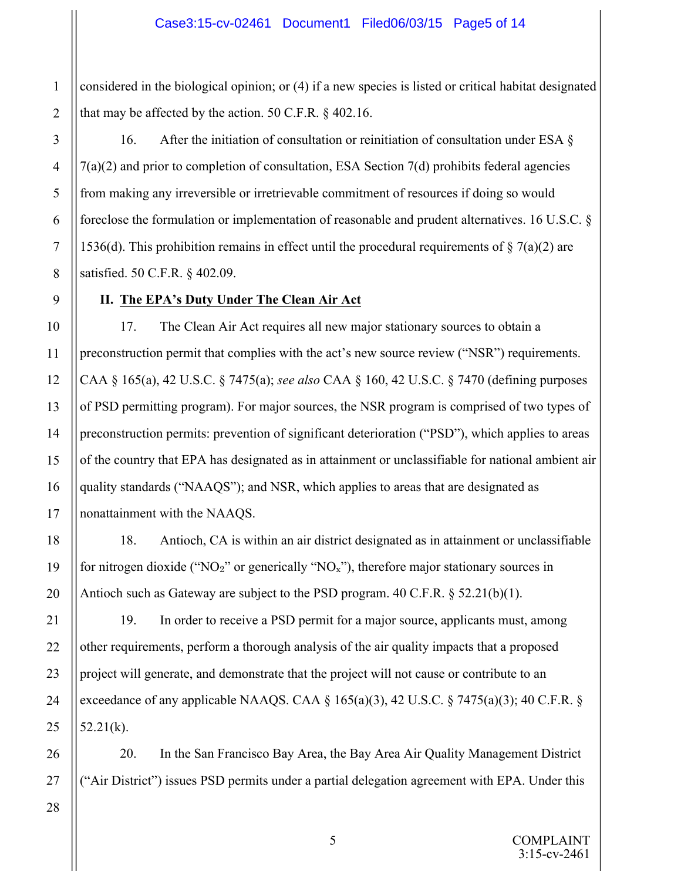considered in the biological opinion; or (4) if a new species is listed or critical habitat designated that may be affected by the action. 50 C.F.R. § 402.16.

16. After the initiation of consultation or reinitiation of consultation under ESA § 7(a)(2) and prior to completion of consultation, ESA Section 7(d) prohibits federal agencies from making any irreversible or irretrievable commitment of resources if doing so would foreclose the formulation or implementation of reasonable and prudent alternatives. 16 U.S.C. § 1536(d). This prohibition remains in effect until the procedural requirements of  $\S$  7(a)(2) are satisfied. 50 C.F.R. § 402.09.

## **II. The EPA's Duty Under The Clean Air Act**

17. The Clean Air Act requires all new major stationary sources to obtain a preconstruction permit that complies with the act's new source review ("NSR") requirements. CAA § 165(a), 42 U.S.C. § 7475(a); *see also* CAA § 160, 42 U.S.C. § 7470 (defining purposes of PSD permitting program). For major sources, the NSR program is comprised of two types of preconstruction permits: prevention of significant deterioration ("PSD"), which applies to areas of the country that EPA has designated as in attainment or unclassifiable for national ambient air quality standards ("NAAQS"); and NSR, which applies to areas that are designated as nonattainment with the NAAQS.

18. Antioch, CA is within an air district designated as in attainment or unclassifiable for nitrogen dioxide (" $NO<sub>2</sub>$ " or generically " $NO<sub>x</sub>$ "), therefore major stationary sources in Antioch such as Gateway are subject to the PSD program. 40 C.F.R. § 52.21(b)(1).

19. In order to receive a PSD permit for a major source, applicants must, among other requirements, perform a thorough analysis of the air quality impacts that a proposed project will generate, and demonstrate that the project will not cause or contribute to an exceedance of any applicable NAAQS. CAA  $\S$  165(a)(3), 42 U.S.C.  $\S$  7475(a)(3); 40 C.F.R.  $\S$  $52.21(k)$ .

20. In the San Francisco Bay Area, the Bay Area Air Quality Management District ("Air District") issues PSD permits under a partial delegation agreement with EPA. Under this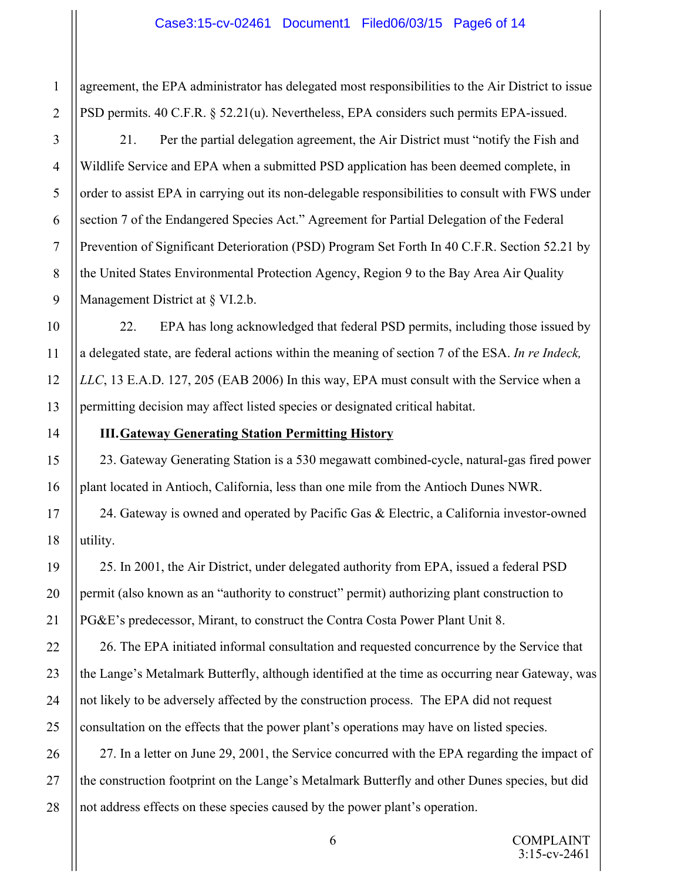## Case3:15-cv-02461 Document1 Filed06/03/15 Page6 of 14

agreement, the EPA administrator has delegated most responsibilities to the Air District to issue PSD permits. 40 C.F.R. § 52.21(u). Nevertheless, EPA considers such permits EPA-issued.

21. Per the partial delegation agreement, the Air District must "notify the Fish and Wildlife Service and EPA when a submitted PSD application has been deemed complete, in order to assist EPA in carrying out its non-delegable responsibilities to consult with FWS under section 7 of the Endangered Species Act." Agreement for Partial Delegation of the Federal Prevention of Significant Deterioration (PSD) Program Set Forth In 40 C.F.R. Section 52.21 by the United States Environmental Protection Agency, Region 9 to the Bay Area Air Quality Management District at § VI.2.b.

22. EPA has long acknowledged that federal PSD permits, including those issued by a delegated state, are federal actions within the meaning of section 7 of the ESA. *In re Indeck, LLC*, 13 E.A.D. 127, 205 (EAB 2006) In this way, EPA must consult with the Service when a permitting decision may affect listed species or designated critical habitat.

## **III.Gateway Generating Station Permitting History**

23. Gateway Generating Station is a 530 megawatt combined-cycle, natural-gas fired power plant located in Antioch, California, less than one mile from the Antioch Dunes NWR.

24. Gateway is owned and operated by Pacific Gas  $\&$  Electric, a California investor-owned utility.

25. In 2001, the Air District, under delegated authority from EPA, issued a federal PSD permit (also known as an "authority to construct" permit) authorizing plant construction to PG&E's predecessor, Mirant, to construct the Contra Costa Power Plant Unit 8.

26. The EPA initiated informal consultation and requested concurrence by the Service that the Lange's Metalmark Butterfly, although identified at the time as occurring near Gateway, was not likely to be adversely affected by the construction process. The EPA did not request consultation on the effects that the power plant's operations may have on listed species.

27. In a letter on June 29, 2001, the Service concurred with the EPA regarding the impact of the construction footprint on the Lange's Metalmark Butterfly and other Dunes species, but did not address effects on these species caused by the power plant's operation.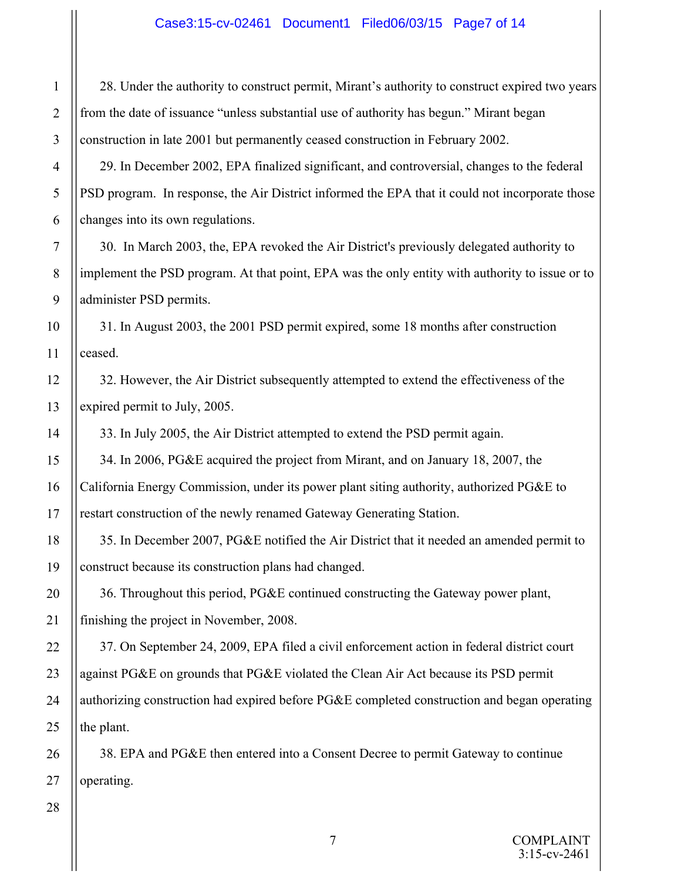28. Under the authority to construct permit, Mirant's authority to construct expired two years from the date of issuance "unless substantial use of authority has begun." Mirant began construction in late 2001 but permanently ceased construction in February 2002.

29. In December 2002, EPA finalized significant, and controversial, changes to the federal PSD program. In response, the Air District informed the EPA that it could not incorporate those changes into its own regulations.

30. In March 2003, the, EPA revoked the Air District's previously delegated authority to implement the PSD program. At that point, EPA was the only entity with authority to issue or to administer PSD permits.

31. In August 2003, the 2001 PSD permit expired, some 18 months after construction ceased.

32. However, the Air District subsequently attempted to extend the effectiveness of the expired permit to July, 2005.

33. In July 2005, the Air District attempted to extend the PSD permit again.

34. In 2006, PG&E acquired the project from Mirant, and on January 18, 2007, the California Energy Commission, under its power plant siting authority, authorized PG&E to restart construction of the newly renamed Gateway Generating Station.

35. In December 2007, PG&E notified the Air District that it needed an amended permit to construct because its construction plans had changed.

36. Throughout this period, PG&E continued constructing the Gateway power plant, finishing the project in November, 2008.

37. On September 24, 2009, EPA filed a civil enforcement action in federal district court against PG&E on grounds that PG&E violated the Clean Air Act because its PSD permit authorizing construction had expired before PG&E completed construction and began operating the plant.

38. EPA and PG&E then entered into a Consent Decree to permit Gateway to continue operating.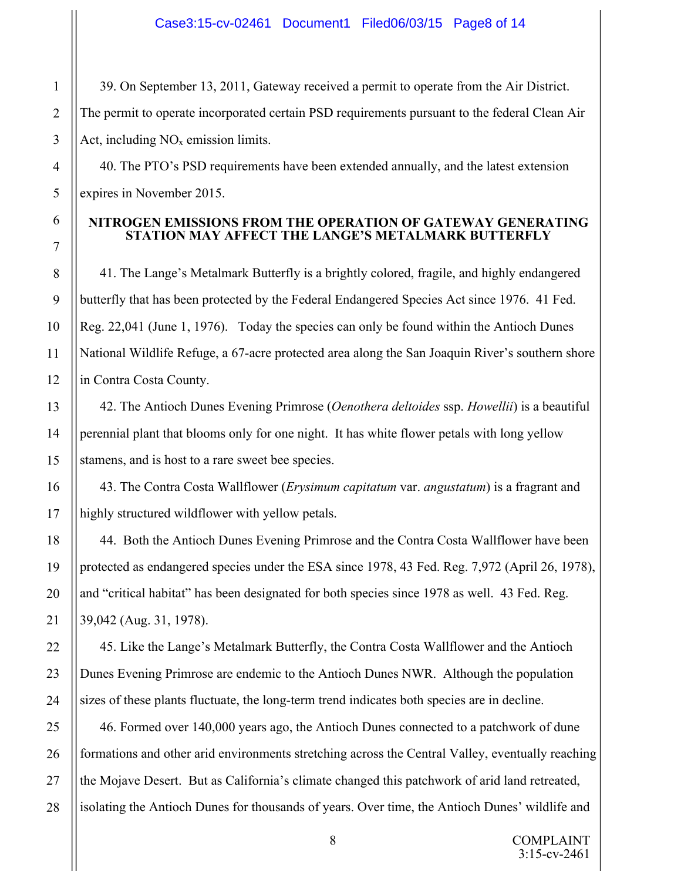39. On September 13, 2011, Gateway received a permit to operate from the Air District. The permit to operate incorporated certain PSD requirements pursuant to the federal Clean Air Act, including  $NO<sub>x</sub>$  emission limits.

40. The PTO's PSD requirements have been extended annually, and the latest extension expires in November 2015.

## **NITROGEN EMISSIONS FROM THE OPERATION OF GATEWAY GENERATING STATION MAY AFFECT THE LANGE'S METALMARK BUTTERFLY**

41. The Lange's Metalmark Butterfly is a brightly colored, fragile, and highly endangered butterfly that has been protected by the Federal Endangered Species Act since 1976. 41 Fed. Reg. 22,041 (June 1, 1976). Today the species can only be found within the Antioch Dunes National Wildlife Refuge, a 67-acre protected area along the San Joaquin River's southern shore in Contra Costa County.

42. The Antioch Dunes Evening Primrose (*Oenothera deltoides* ssp. *Howellii*) is a beautiful perennial plant that blooms only for one night. It has white flower petals with long yellow stamens, and is host to a rare sweet bee species.

43. The Contra Costa Wallflower (*Erysimum capitatum* var. *angustatum*) is a fragrant and highly structured wildflower with yellow petals.

44. Both the Antioch Dunes Evening Primrose and the Contra Costa Wallflower have been protected as endangered species under the ESA since 1978, 43 Fed. Reg. 7,972 (April 26, 1978), and "critical habitat" has been designated for both species since 1978 as well. 43 Fed. Reg. 39,042 (Aug. 31, 1978).

45. Like the Lange's Metalmark Butterfly, the Contra Costa Wallflower and the Antioch Dunes Evening Primrose are endemic to the Antioch Dunes NWR. Although the population sizes of these plants fluctuate, the long-term trend indicates both species are in decline.

46. Formed over 140,000 years ago, the Antioch Dunes connected to a patchwork of dune formations and other arid environments stretching across the Central Valley, eventually reaching the Mojave Desert. But as California's climate changed this patchwork of arid land retreated, isolating the Antioch Dunes for thousands of years. Over time, the Antioch Dunes' wildlife and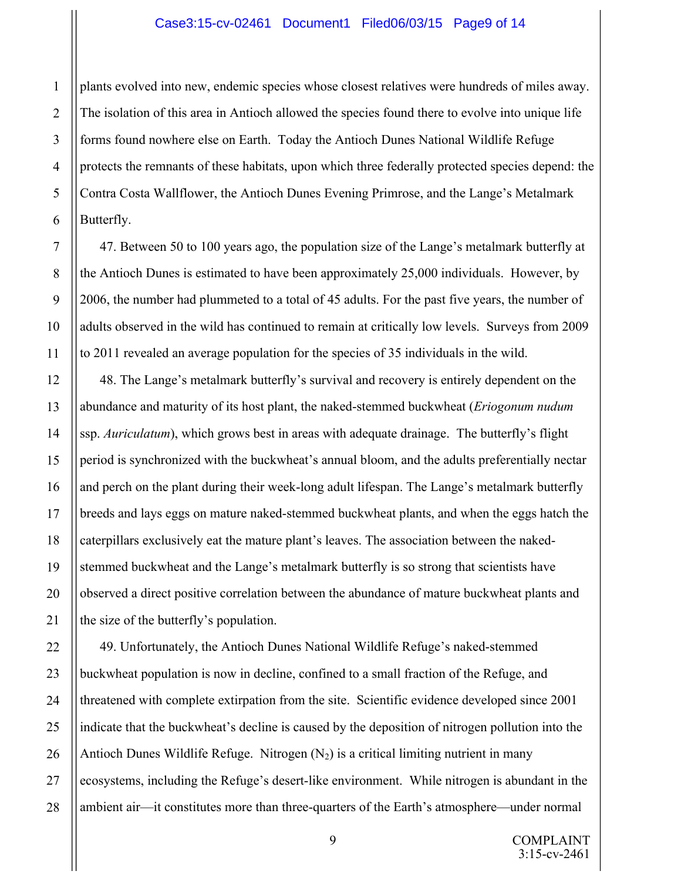#### Case3:15-cv-02461 Document1 Filed06/03/15 Page9 of 14

plants evolved into new, endemic species whose closest relatives were hundreds of miles away. The isolation of this area in Antioch allowed the species found there to evolve into unique life forms found nowhere else on Earth. Today the Antioch Dunes National Wildlife Refuge protects the remnants of these habitats, upon which three federally protected species depend: the Contra Costa Wallflower, the Antioch Dunes Evening Primrose, and the Lange's Metalmark Butterfly.

47. Between 50 to 100 years ago, the population size of the Lange's metalmark butterfly at the Antioch Dunes is estimated to have been approximately 25,000 individuals. However, by 2006, the number had plummeted to a total of 45 adults. For the past five years, the number of adults observed in the wild has continued to remain at critically low levels. Surveys from 2009 to 2011 revealed an average population for the species of 35 individuals in the wild.

48. The Lange's metalmark butterfly's survival and recovery is entirely dependent on the abundance and maturity of its host plant, the naked-stemmed buckwheat (*Eriogonum nudum* ssp. *Auriculatum*), which grows best in areas with adequate drainage. The butterfly's flight period is synchronized with the buckwheat's annual bloom, and the adults preferentially nectar and perch on the plant during their week-long adult lifespan. The Lange's metalmark butterfly breeds and lays eggs on mature naked-stemmed buckwheat plants, and when the eggs hatch the caterpillars exclusively eat the mature plant's leaves. The association between the nakedstemmed buckwheat and the Lange's metalmark butterfly is so strong that scientists have observed a direct positive correlation between the abundance of mature buckwheat plants and the size of the butterfly's population.

49. Unfortunately, the Antioch Dunes National Wildlife Refuge's naked-stemmed buckwheat population is now in decline, confined to a small fraction of the Refuge, and threatened with complete extirpation from the site. Scientific evidence developed since 2001 indicate that the buckwheat's decline is caused by the deposition of nitrogen pollution into the Antioch Dunes Wildlife Refuge. Nitrogen  $(N_2)$  is a critical limiting nutrient in many ecosystems, including the Refuge's desert-like environment. While nitrogen is abundant in the ambient air—it constitutes more than three-quarters of the Earth's atmosphere—under normal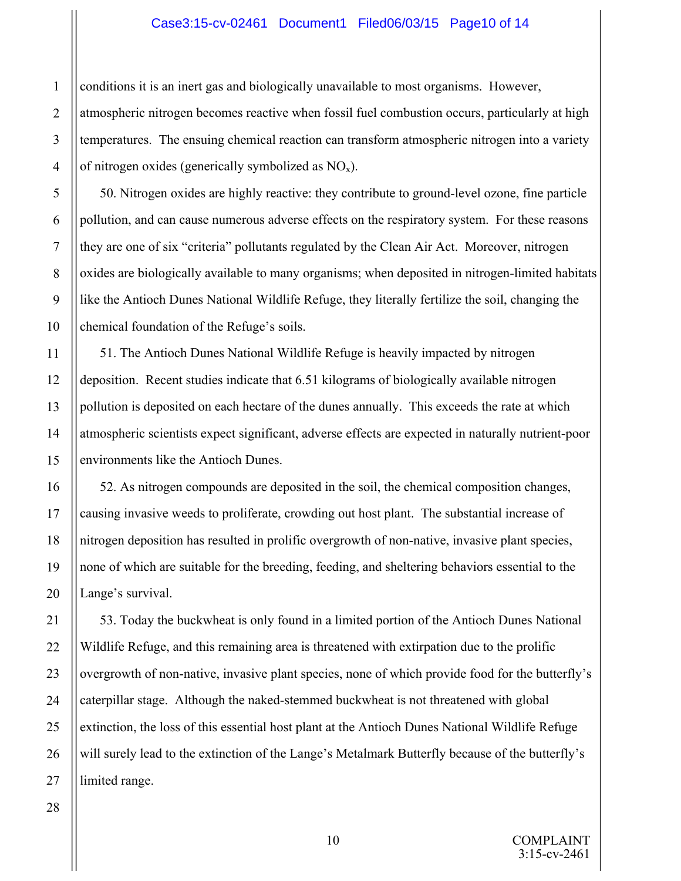#### Case3:15-cv-02461 Document1 Filed06/03/15 Page10 of 14

conditions it is an inert gas and biologically unavailable to most organisms. However, atmospheric nitrogen becomes reactive when fossil fuel combustion occurs, particularly at high temperatures. The ensuing chemical reaction can transform atmospheric nitrogen into a variety of nitrogen oxides (generically symbolized as  $NO<sub>x</sub>$ ).

50. Nitrogen oxides are highly reactive: they contribute to ground-level ozone, fine particle pollution, and can cause numerous adverse effects on the respiratory system. For these reasons they are one of six "criteria" pollutants regulated by the Clean Air Act. Moreover, nitrogen oxides are biologically available to many organisms; when deposited in nitrogen-limited habitats like the Antioch Dunes National Wildlife Refuge, they literally fertilize the soil, changing the chemical foundation of the Refuge's soils.

51. The Antioch Dunes National Wildlife Refuge is heavily impacted by nitrogen deposition. Recent studies indicate that 6.51 kilograms of biologically available nitrogen pollution is deposited on each hectare of the dunes annually. This exceeds the rate at which atmospheric scientists expect significant, adverse effects are expected in naturally nutrient-poor environments like the Antioch Dunes.

52. As nitrogen compounds are deposited in the soil, the chemical composition changes, causing invasive weeds to proliferate, crowding out host plant. The substantial increase of nitrogen deposition has resulted in prolific overgrowth of non-native, invasive plant species, none of which are suitable for the breeding, feeding, and sheltering behaviors essential to the Lange's survival.

53. Today the buckwheat is only found in a limited portion of the Antioch Dunes National Wildlife Refuge, and this remaining area is threatened with extirpation due to the prolific overgrowth of non-native, invasive plant species, none of which provide food for the butterfly's caterpillar stage. Although the naked-stemmed buckwheat is not threatened with global extinction, the loss of this essential host plant at the Antioch Dunes National Wildlife Refuge will surely lead to the extinction of the Lange's Metalmark Butterfly because of the butterfly's limited range.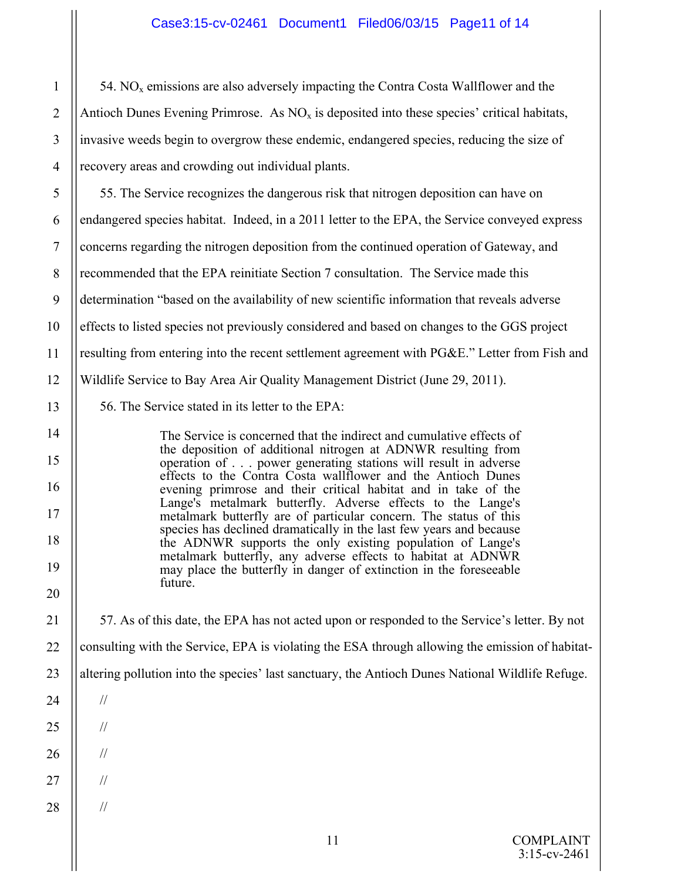# Case3:15-cv-02461 Document1 Filed06/03/15 Page11 of 14

54. NO<sub>x</sub> emissions are also adversely impacting the Contra Costa Wallflower and the Antioch Dunes Evening Primrose. As  $NO<sub>x</sub>$  is deposited into these species' critical habitats, invasive weeds begin to overgrow these endemic, endangered species, reducing the size of recovery areas and crowding out individual plants.

55. The Service recognizes the dangerous risk that nitrogen deposition can have on endangered species habitat. Indeed, in a 2011 letter to the EPA, the Service conveyed express concerns regarding the nitrogen deposition from the continued operation of Gateway, and recommended that the EPA reinitiate Section 7 consultation. The Service made this determination "based on the availability of new scientific information that reveals adverse effects to listed species not previously considered and based on changes to the GGS project resulting from entering into the recent settlement agreement with PG&E." Letter from Fish and Wildlife Service to Bay Area Air Quality Management District (June 29, 2011).

56. The Service stated in its letter to the EPA:

The Service is concerned that the indirect and cumulative effects of the deposition of additional nitrogen at ADNWR resulting from operation of . . . power generating stations will result in adverse effects to the Contra Costa wallflower and the Antioch Dunes evening primrose and their critical habitat and in take of the Lange's metalmark butterfly. Adverse effects to the Lange's metalmark butterfly are of particular concern. The status of this species has declined dramatically in the last few years and because the ADNWR supports the only existing population of Lange's metalmark butterfly, any adverse effects to habitat at ADNWR may place the butterfly in danger of extinction in the foreseeable future.

57. As of this date, the EPA has not acted upon or responded to the Service's letter. By not consulting with the Service, EPA is violating the ESA through allowing the emission of habitataltering pollution into the species' last sanctuary, the Antioch Dunes National Wildlife Refuge.

24

//

//

//

//

//

1

2

3

4

5

6

7

8

9

10

11

12

13

14

15

16

17

18

19

20

21

22

23

- 25
- 26
- 27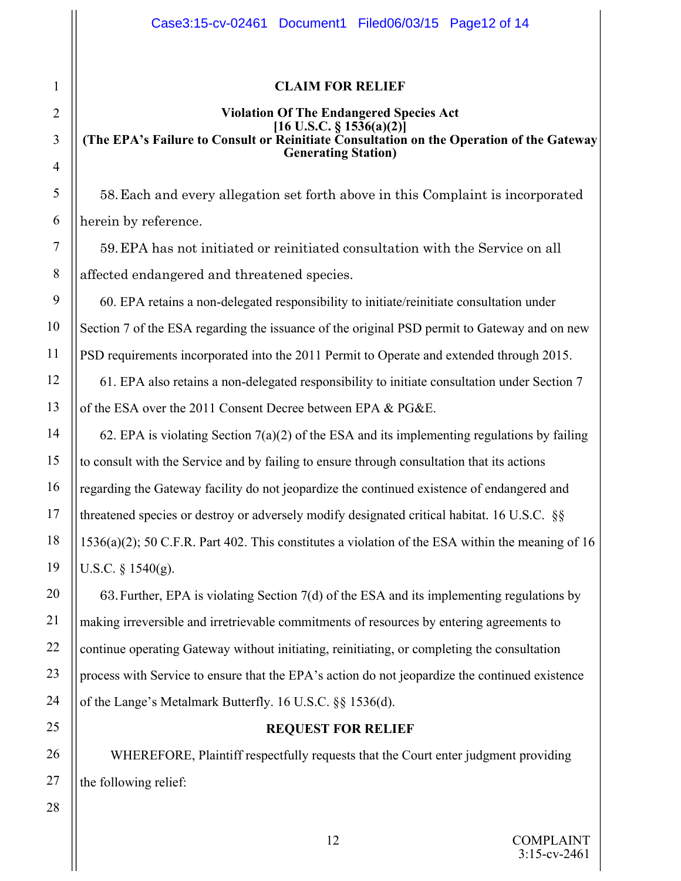## **CLAIM FOR RELIEF**

#### **Violation Of The Endangered Species Act [16 U.S.C. § 1536(a)(2)] (The EPA's Failure to Consult or Reinitiate Consultation on the Operation of the Gateway Generating Station)**

58.Each and every allegation set forth above in this Complaint is incorporated herein by reference.

59.EPA has not initiated or reinitiated consultation with the Service on all affected endangered and threatened species.

60. EPA retains a non-delegated responsibility to initiate/reinitiate consultation under Section 7 of the ESA regarding the issuance of the original PSD permit to Gateway and on new PSD requirements incorporated into the 2011 Permit to Operate and extended through 2015.

61. EPA also retains a non-delegated responsibility to initiate consultation under Section 7 of the ESA over the 2011 Consent Decree between EPA & PG&E.

62. EPA is violating Section 7(a)(2) of the ESA and its implementing regulations by failing to consult with the Service and by failing to ensure through consultation that its actions regarding the Gateway facility do not jeopardize the continued existence of endangered and threatened species or destroy or adversely modify designated critical habitat. 16 U.S.C. §§ 1536(a)(2); 50 C.F.R. Part 402. This constitutes a violation of the ESA within the meaning of 16 U.S.C. § 1540(g).

63.Further, EPA is violating Section 7(d) of the ESA and its implementing regulations by making irreversible and irretrievable commitments of resources by entering agreements to continue operating Gateway without initiating, reinitiating, or completing the consultation process with Service to ensure that the EPA's action do not jeopardize the continued existence of the Lange's Metalmark Butterfly. 16 U.S.C. §§ 1536(d).

# **REQUEST FOR RELIEF**

WHEREFORE, Plaintiff respectfully requests that the Court enter judgment providing the following relief: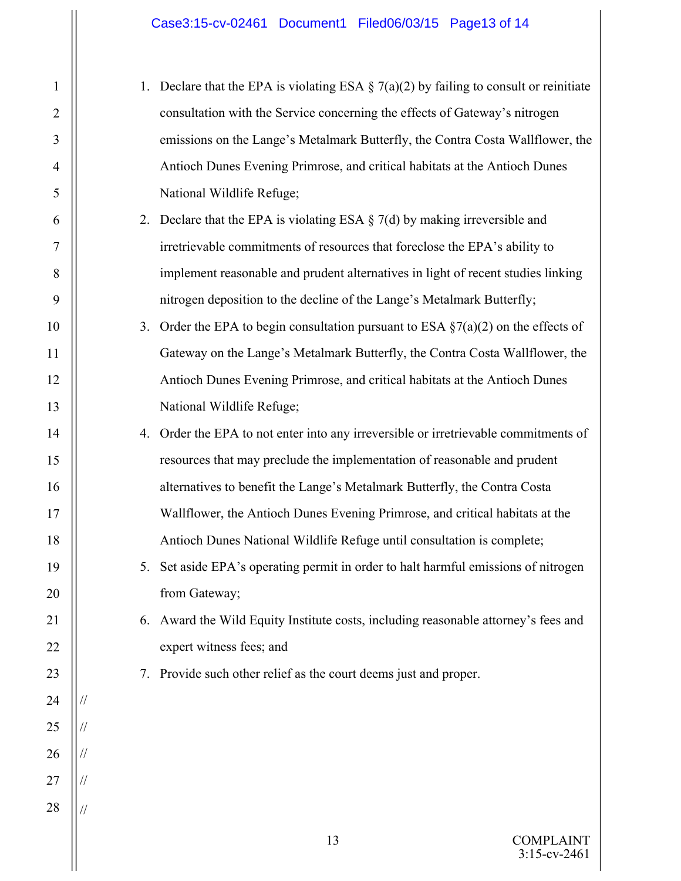1

2

3

4

5

6

7

8

9

10

11

12

13

14

15

16

17

18

19

20

21

22

23

24

25

26

27

28

1. Declare that the EPA is violating ESA  $\S$  7(a)(2) by failing to consult or reinitiate consultation with the Service concerning the effects of Gateway's nitrogen emissions on the Lange's Metalmark Butterfly, the Contra Costa Wallflower, the Antioch Dunes Evening Primrose, and critical habitats at the Antioch Dunes National Wildlife Refuge; 2. Declare that the EPA is violating ESA  $\S$  7(d) by making irreversible and irretrievable commitments of resources that foreclose the EPA's ability to implement reasonable and prudent alternatives in light of recent studies linking nitrogen deposition to the decline of the Lange's Metalmark Butterfly; 3. Order the EPA to begin consultation pursuant to ESA  $\S7(a)(2)$  on the effects of Gateway on the Lange's Metalmark Butterfly, the Contra Costa Wallflower, the Antioch Dunes Evening Primrose, and critical habitats at the Antioch Dunes National Wildlife Refuge; 4. Order the EPA to not enter into any irreversible or irretrievable commitments of resources that may preclude the implementation of reasonable and prudent alternatives to benefit the Lange's Metalmark Butterfly, the Contra Costa Wallflower, the Antioch Dunes Evening Primrose, and critical habitats at the Antioch Dunes National Wildlife Refuge until consultation is complete; 5. Set aside EPA's operating permit in order to halt harmful emissions of nitrogen from Gateway; 6. Award the Wild Equity Institute costs, including reasonable attorney's fees and expert witness fees; and 7. Provide such other relief as the court deems just and proper. // // // // //